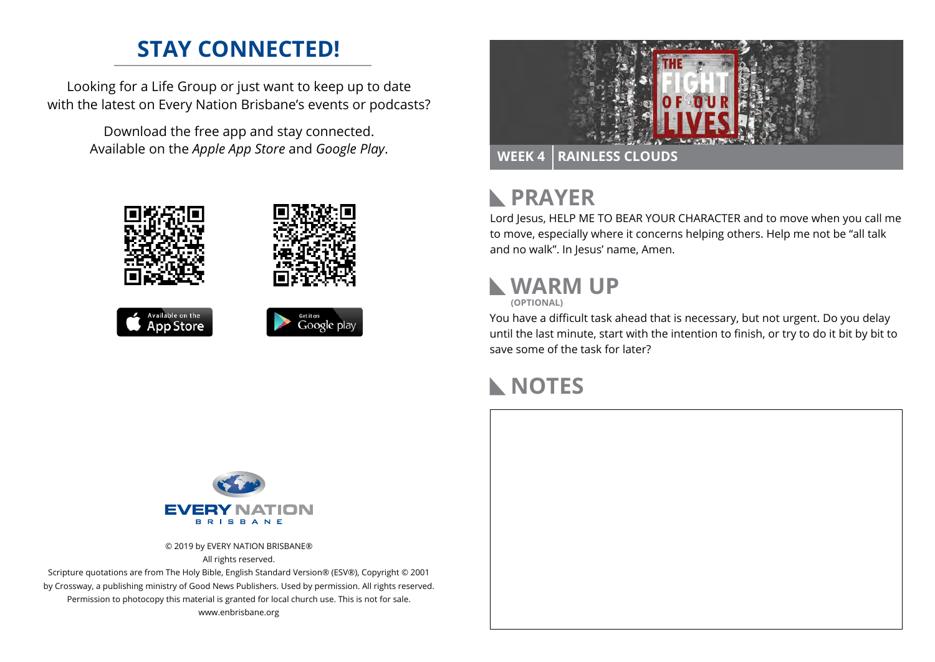### **STAY CONNECTED!**

Looking for a Life Group or just want to keep up to date with the latest on Every Nation Brisbane's events or podcasts?

> Download the free app and stay connected. Available on the *Apple App Store* and *Google Play*.





# **RAYER**

Lord Jesus, HELP ME TO BEAR YOUR CHARACTER and to move when you call me to move, especially where it concerns helping others. Help me not be "all talk and no walk". In Jesus' name, Amen.

# **WARM UP**

**(OPTIONAL)**

You have a difficult task ahead that is necessary, but not urgent. Do you delay until the last minute, start with the intention to finish, or try to do it bit by bit to save some of the task for later?

## **NOTES**



© 2019 by EVERY NATION BRISBANE® All rights reserved.

Scripture quotations are from The Holy Bible, English Standard Version® (ESV®), Copyright © 2001 by Crossway, a publishing ministry of Good News Publishers. Used by permission. All rights reserved. Permission to photocopy this material is granted for local church use. This is not for sale. www.enbrisbane.org